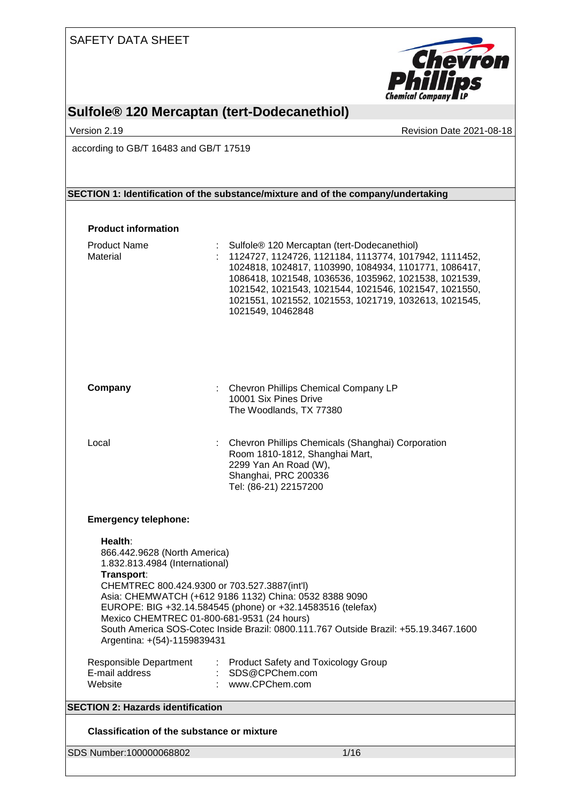| <b>SAFETY DATA SHEET</b>                                                                                               |                                                                                                                                                                                                                     |                                                                                                                                                                                                                                                                                           |
|------------------------------------------------------------------------------------------------------------------------|---------------------------------------------------------------------------------------------------------------------------------------------------------------------------------------------------------------------|-------------------------------------------------------------------------------------------------------------------------------------------------------------------------------------------------------------------------------------------------------------------------------------------|
|                                                                                                                        |                                                                                                                                                                                                                     | <b>Chevron</b><br><b>Phillips</b>                                                                                                                                                                                                                                                         |
|                                                                                                                        |                                                                                                                                                                                                                     | <b>Chemical Company LP</b>                                                                                                                                                                                                                                                                |
| Version 2.19                                                                                                           | Sulfole <sup>®</sup> 120 Mercaptan (tert-Dodecanethiol)                                                                                                                                                             | Revision Date 2021-08-18                                                                                                                                                                                                                                                                  |
| according to GB/T 16483 and GB/T 17519                                                                                 |                                                                                                                                                                                                                     |                                                                                                                                                                                                                                                                                           |
|                                                                                                                        |                                                                                                                                                                                                                     |                                                                                                                                                                                                                                                                                           |
|                                                                                                                        | SECTION 1: Identification of the substance/mixture and of the company/undertaking                                                                                                                                   |                                                                                                                                                                                                                                                                                           |
| <b>Product information</b>                                                                                             |                                                                                                                                                                                                                     |                                                                                                                                                                                                                                                                                           |
| <b>Product Name</b><br>Material                                                                                        | Sulfole® 120 Mercaptan (tert-Dodecanethiol)<br>1021549, 10462848                                                                                                                                                    | 1124727, 1124726, 1121184, 1113774, 1017942, 1111452,<br>1024818, 1024817, 1103990, 1084934, 1101771, 1086417,<br>1086418, 1021548, 1036536, 1035962, 1021538, 1021539,<br>1021542, 1021543, 1021544, 1021546, 1021547, 1021550,<br>1021551, 1021552, 1021553, 1021719, 1032613, 1021545, |
| Company                                                                                                                | Chevron Phillips Chemical Company LP<br>10001 Six Pines Drive<br>The Woodlands, TX 77380                                                                                                                            |                                                                                                                                                                                                                                                                                           |
| Local                                                                                                                  | Room 1810-1812, Shanghai Mart,<br>2299 Yan An Road (W),<br>Shanghai, PRC 200336<br>Tel: (86-21) 22157200                                                                                                            | Chevron Phillips Chemicals (Shanghai) Corporation                                                                                                                                                                                                                                         |
| <b>Emergency telephone:</b>                                                                                            |                                                                                                                                                                                                                     |                                                                                                                                                                                                                                                                                           |
| Health:<br>866.442.9628 (North America)<br>1.832.813.4984 (International)<br>Transport:<br>Argentina: +(54)-1159839431 | CHEMTREC 800.424.9300 or 703.527.3887(int'l)<br>Asia: CHEMWATCH (+612 9186 1132) China: 0532 8388 9090<br>EUROPE: BIG +32.14.584545 (phone) or +32.14583516 (telefax)<br>Mexico CHEMTREC 01-800-681-9531 (24 hours) | South America SOS-Cotec Inside Brazil: 0800.111.767 Outside Brazil: +55.19.3467.1600                                                                                                                                                                                                      |
| Responsible Department<br>E-mail address<br>Website                                                                    | : Product Safety and Toxicology Group<br>: SDS@CPChem.com<br>: www.CPChem.com                                                                                                                                       |                                                                                                                                                                                                                                                                                           |
|                                                                                                                        |                                                                                                                                                                                                                     |                                                                                                                                                                                                                                                                                           |
| <b>SECTION 2: Hazards identification</b>                                                                               |                                                                                                                                                                                                                     |                                                                                                                                                                                                                                                                                           |
| <b>Classification of the substance or mixture</b>                                                                      |                                                                                                                                                                                                                     |                                                                                                                                                                                                                                                                                           |
| SDS Number:100000068802                                                                                                |                                                                                                                                                                                                                     | 1/16                                                                                                                                                                                                                                                                                      |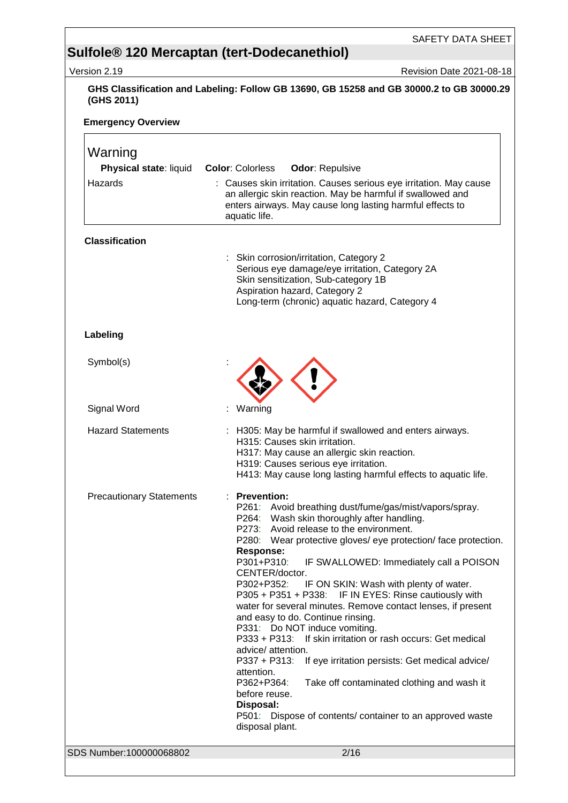|                                 | SAFETY DATA SHEET                                                                                                                                                                                                                                                                                                                                                                                                                                                                                                                                                                                                                                                                                                                                                                                                                                                                                                      |
|---------------------------------|------------------------------------------------------------------------------------------------------------------------------------------------------------------------------------------------------------------------------------------------------------------------------------------------------------------------------------------------------------------------------------------------------------------------------------------------------------------------------------------------------------------------------------------------------------------------------------------------------------------------------------------------------------------------------------------------------------------------------------------------------------------------------------------------------------------------------------------------------------------------------------------------------------------------|
|                                 | Sulfole <sup>®</sup> 120 Mercaptan (tert-Dodecanethiol)                                                                                                                                                                                                                                                                                                                                                                                                                                                                                                                                                                                                                                                                                                                                                                                                                                                                |
| Version 2.19                    | <b>Revision Date 2021-08-18</b>                                                                                                                                                                                                                                                                                                                                                                                                                                                                                                                                                                                                                                                                                                                                                                                                                                                                                        |
| (GHS 2011)                      | GHS Classification and Labeling: Follow GB 13690, GB 15258 and GB 30000.2 to GB 30000.29                                                                                                                                                                                                                                                                                                                                                                                                                                                                                                                                                                                                                                                                                                                                                                                                                               |
| <b>Emergency Overview</b>       |                                                                                                                                                                                                                                                                                                                                                                                                                                                                                                                                                                                                                                                                                                                                                                                                                                                                                                                        |
| Warning                         |                                                                                                                                                                                                                                                                                                                                                                                                                                                                                                                                                                                                                                                                                                                                                                                                                                                                                                                        |
| Physical state: liquid          | <b>Color: Colorless</b><br><b>Odor: Repulsive</b>                                                                                                                                                                                                                                                                                                                                                                                                                                                                                                                                                                                                                                                                                                                                                                                                                                                                      |
| Hazards                         | : Causes skin irritation. Causes serious eye irritation. May cause<br>an allergic skin reaction. May be harmful if swallowed and<br>enters airways. May cause long lasting harmful effects to<br>aquatic life.                                                                                                                                                                                                                                                                                                                                                                                                                                                                                                                                                                                                                                                                                                         |
| <b>Classification</b>           |                                                                                                                                                                                                                                                                                                                                                                                                                                                                                                                                                                                                                                                                                                                                                                                                                                                                                                                        |
|                                 | : Skin corrosion/irritation, Category 2<br>Serious eye damage/eye irritation, Category 2A<br>Skin sensitization, Sub-category 1B<br>Aspiration hazard, Category 2<br>Long-term (chronic) aquatic hazard, Category 4                                                                                                                                                                                                                                                                                                                                                                                                                                                                                                                                                                                                                                                                                                    |
| Labeling                        |                                                                                                                                                                                                                                                                                                                                                                                                                                                                                                                                                                                                                                                                                                                                                                                                                                                                                                                        |
| Symbol(s)                       |                                                                                                                                                                                                                                                                                                                                                                                                                                                                                                                                                                                                                                                                                                                                                                                                                                                                                                                        |
| Signal Word                     | Warning                                                                                                                                                                                                                                                                                                                                                                                                                                                                                                                                                                                                                                                                                                                                                                                                                                                                                                                |
| <b>Hazard Statements</b>        | H305: May be harmful if swallowed and enters airways.<br>H315: Causes skin irritation.<br>H317: May cause an allergic skin reaction.<br>H319: Causes serious eye irritation.<br>H413: May cause long lasting harmful effects to aquatic life.                                                                                                                                                                                                                                                                                                                                                                                                                                                                                                                                                                                                                                                                          |
| <b>Precautionary Statements</b> | <b>Prevention:</b><br>P261: Avoid breathing dust/fume/gas/mist/vapors/spray.<br>P264: Wash skin thoroughly after handling.<br>P273: Avoid release to the environment.<br>P280: Wear protective gloves/ eye protection/ face protection.<br>Response:<br>P301+P310:<br>IF SWALLOWED: Immediately call a POISON<br>CENTER/doctor.<br>P302+P352:<br>IF ON SKIN: Wash with plenty of water.<br>P305 + P351 + P338: IF IN EYES: Rinse cautiously with<br>water for several minutes. Remove contact lenses, if present<br>and easy to do. Continue rinsing.<br>P331: Do NOT induce vomiting.<br>P333 + P313: If skin irritation or rash occurs: Get medical<br>advice/ attention.<br>If eye irritation persists: Get medical advice/<br>$P337 + P313$ :<br>attention.<br>P362+P364:<br>Take off contaminated clothing and wash it<br>before reuse.<br>Disposal:<br>P501: Dispose of contents/ container to an approved waste |
|                                 | disposal plant.                                                                                                                                                                                                                                                                                                                                                                                                                                                                                                                                                                                                                                                                                                                                                                                                                                                                                                        |
| SDS Number:100000068802         | 2/16                                                                                                                                                                                                                                                                                                                                                                                                                                                                                                                                                                                                                                                                                                                                                                                                                                                                                                                   |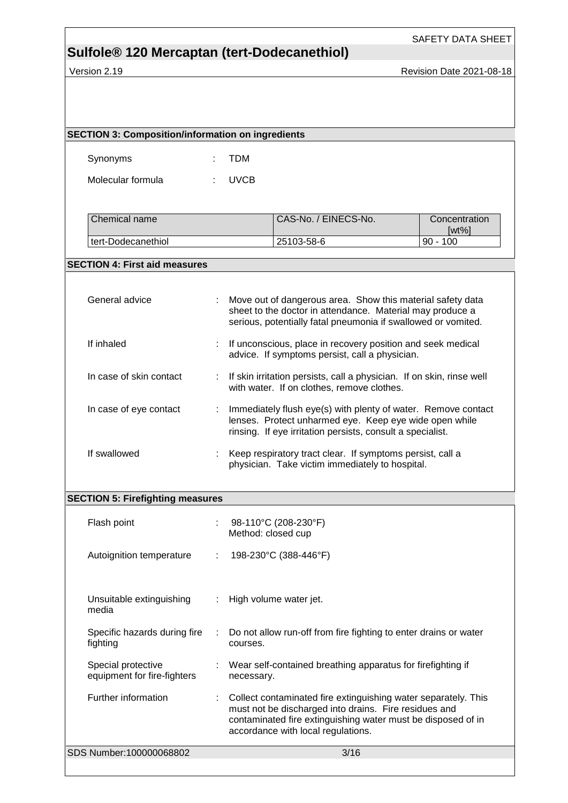SAFETY DATA SHEET

## **Sulfole® 120 Mercaptan (tert-Dodecanethiol)**

Version 2.19 **Version 2.19** Revision Date 2021-08-18

| <b>SECTION 3: Composition/information on ingredients</b> |   |                                                                                                                                                                                                                               |                                                                                                                                                                                          |                           |  |
|----------------------------------------------------------|---|-------------------------------------------------------------------------------------------------------------------------------------------------------------------------------------------------------------------------------|------------------------------------------------------------------------------------------------------------------------------------------------------------------------------------------|---------------------------|--|
| Synonyms                                                 |   | <b>TDM</b>                                                                                                                                                                                                                    |                                                                                                                                                                                          |                           |  |
| Molecular formula                                        |   | <b>UVCB</b>                                                                                                                                                                                                                   |                                                                                                                                                                                          |                           |  |
|                                                          |   |                                                                                                                                                                                                                               |                                                                                                                                                                                          |                           |  |
| Chemical name                                            |   |                                                                                                                                                                                                                               | CAS-No. / EINECS-No.                                                                                                                                                                     | Concentration<br>$[wt\%]$ |  |
| tert-Dodecanethiol                                       |   |                                                                                                                                                                                                                               | 25103-58-6                                                                                                                                                                               | $90 - 100$                |  |
| <b>SECTION 4: First aid measures</b>                     |   |                                                                                                                                                                                                                               |                                                                                                                                                                                          |                           |  |
| General advice                                           |   |                                                                                                                                                                                                                               | Move out of dangerous area. Show this material safety data<br>sheet to the doctor in attendance. Material may produce a<br>serious, potentially fatal pneumonia if swallowed or vomited. |                           |  |
| If inhaled                                               |   |                                                                                                                                                                                                                               | If unconscious, place in recovery position and seek medical<br>advice. If symptoms persist, call a physician.                                                                            |                           |  |
| In case of skin contact                                  | ÷ |                                                                                                                                                                                                                               | If skin irritation persists, call a physician. If on skin, rinse well<br>with water. If on clothes, remove clothes.                                                                      |                           |  |
| In case of eye contact                                   |   |                                                                                                                                                                                                                               | Immediately flush eye(s) with plenty of water. Remove contact<br>lenses. Protect unharmed eye. Keep eye wide open while<br>rinsing. If eye irritation persists, consult a specialist.    |                           |  |
| If swallowed                                             | ÷ | Keep respiratory tract clear. If symptoms persist, call a<br>physician. Take victim immediately to hospital.                                                                                                                  |                                                                                                                                                                                          |                           |  |
| <b>SECTION 5: Firefighting measures</b>                  |   |                                                                                                                                                                                                                               |                                                                                                                                                                                          |                           |  |
| Flash point                                              |   | Method: closed cup                                                                                                                                                                                                            | 98-110°C (208-230°F)                                                                                                                                                                     |                           |  |
| Autoignition temperature                                 | ÷ |                                                                                                                                                                                                                               | 198-230°C (388-446°F)                                                                                                                                                                    |                           |  |
| Unsuitable extinguishing<br>media                        |   |                                                                                                                                                                                                                               | High volume water jet.                                                                                                                                                                   |                           |  |
| Specific hazards during fire<br>fighting                 |   | Do not allow run-off from fire fighting to enter drains or water<br>courses.                                                                                                                                                  |                                                                                                                                                                                          |                           |  |
| Special protective<br>equipment for fire-fighters        |   | Wear self-contained breathing apparatus for firefighting if<br>necessary.                                                                                                                                                     |                                                                                                                                                                                          |                           |  |
| Further information                                      |   | Collect contaminated fire extinguishing water separately. This<br>must not be discharged into drains. Fire residues and<br>contaminated fire extinguishing water must be disposed of in<br>accordance with local regulations. |                                                                                                                                                                                          |                           |  |
| SDS Number:100000068802                                  |   |                                                                                                                                                                                                                               | 3/16                                                                                                                                                                                     |                           |  |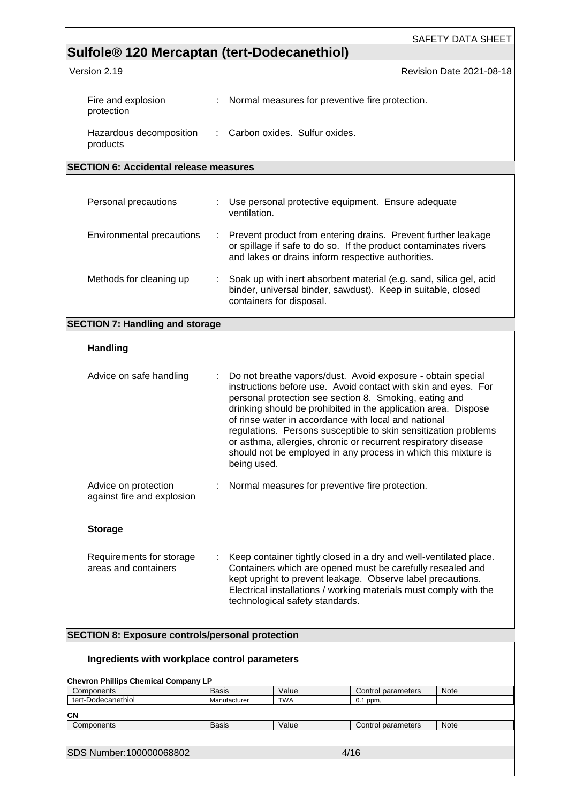|                                                                         |                              |              |                                 |                                                                                                                                                                                                                                                 | SAFETY DATA SHEET                                                                                                                                                                                                                                                     |
|-------------------------------------------------------------------------|------------------------------|--------------|---------------------------------|-------------------------------------------------------------------------------------------------------------------------------------------------------------------------------------------------------------------------------------------------|-----------------------------------------------------------------------------------------------------------------------------------------------------------------------------------------------------------------------------------------------------------------------|
| Sulfole <sup>®</sup> 120 Mercaptan (tert-Dodecanethiol)<br>Version 2.19 |                              |              |                                 |                                                                                                                                                                                                                                                 | Revision Date 2021-08-18                                                                                                                                                                                                                                              |
|                                                                         |                              |              |                                 |                                                                                                                                                                                                                                                 |                                                                                                                                                                                                                                                                       |
| Fire and explosion<br>protection                                        | ÷                            |              |                                 | Normal measures for preventive fire protection.                                                                                                                                                                                                 |                                                                                                                                                                                                                                                                       |
| Hazardous decomposition<br>products                                     |                              |              | Carbon oxides. Sulfur oxides.   |                                                                                                                                                                                                                                                 |                                                                                                                                                                                                                                                                       |
| <b>SECTION 6: Accidental release measures</b>                           |                              |              |                                 |                                                                                                                                                                                                                                                 |                                                                                                                                                                                                                                                                       |
|                                                                         |                              |              |                                 |                                                                                                                                                                                                                                                 |                                                                                                                                                                                                                                                                       |
| Personal precautions                                                    |                              | ventilation. |                                 | : Use personal protective equipment. Ensure adequate                                                                                                                                                                                            |                                                                                                                                                                                                                                                                       |
| Environmental precautions                                               |                              |              |                                 | or spillage if safe to do so. If the product contaminates rivers<br>and lakes or drains inform respective authorities.                                                                                                                          | Prevent product from entering drains. Prevent further leakage                                                                                                                                                                                                         |
| Methods for cleaning up                                                 | ÷                            |              | containers for disposal.        | binder, universal binder, sawdust). Keep in suitable, closed                                                                                                                                                                                    | Soak up with inert absorbent material (e.g. sand, silica gel, acid                                                                                                                                                                                                    |
| <b>SECTION 7: Handling and storage</b>                                  |                              |              |                                 |                                                                                                                                                                                                                                                 |                                                                                                                                                                                                                                                                       |
| <b>Handling</b>                                                         |                              |              |                                 |                                                                                                                                                                                                                                                 |                                                                                                                                                                                                                                                                       |
| Advice on safe handling                                                 | ÷                            | being used.  |                                 | Do not breathe vapors/dust. Avoid exposure - obtain special<br>personal protection see section 8. Smoking, eating and<br>of rinse water in accordance with local and national<br>or asthma, allergies, chronic or recurrent respiratory disease | instructions before use. Avoid contact with skin and eyes. For<br>drinking should be prohibited in the application area. Dispose<br>regulations. Persons susceptible to skin sensitization problems<br>should not be employed in any process in which this mixture is |
| Advice on protection<br>against fire and explosion                      | ÷                            |              |                                 | Normal measures for preventive fire protection.                                                                                                                                                                                                 |                                                                                                                                                                                                                                                                       |
| <b>Storage</b>                                                          |                              |              |                                 |                                                                                                                                                                                                                                                 |                                                                                                                                                                                                                                                                       |
| Requirements for storage<br>areas and containers                        |                              |              | technological safety standards. | Containers which are opened must be carefully resealed and<br>kept upright to prevent leakage. Observe label precautions.                                                                                                                       | Keep container tightly closed in a dry and well-ventilated place.<br>Electrical installations / working materials must comply with the                                                                                                                                |
| <b>SECTION 8: Exposure controls/personal protection</b>                 |                              |              |                                 |                                                                                                                                                                                                                                                 |                                                                                                                                                                                                                                                                       |
| Ingredients with workplace control parameters                           |                              |              |                                 |                                                                                                                                                                                                                                                 |                                                                                                                                                                                                                                                                       |
| <b>Chevron Phillips Chemical Company LP</b>                             |                              |              |                                 |                                                                                                                                                                                                                                                 |                                                                                                                                                                                                                                                                       |
| Components<br>tert-Dodecanethiol                                        | <b>Basis</b><br>Manufacturer |              | Value<br><b>TWA</b>             | Control parameters<br>$0.1$ ppm,                                                                                                                                                                                                                | Note                                                                                                                                                                                                                                                                  |
| CΝ                                                                      |                              |              |                                 |                                                                                                                                                                                                                                                 |                                                                                                                                                                                                                                                                       |
| Components                                                              | <b>Basis</b>                 |              | Value                           | Control parameters                                                                                                                                                                                                                              | Note                                                                                                                                                                                                                                                                  |
|                                                                         |                              |              |                                 |                                                                                                                                                                                                                                                 |                                                                                                                                                                                                                                                                       |
| SDS Number:100000068802                                                 |                              |              |                                 | 4/16                                                                                                                                                                                                                                            |                                                                                                                                                                                                                                                                       |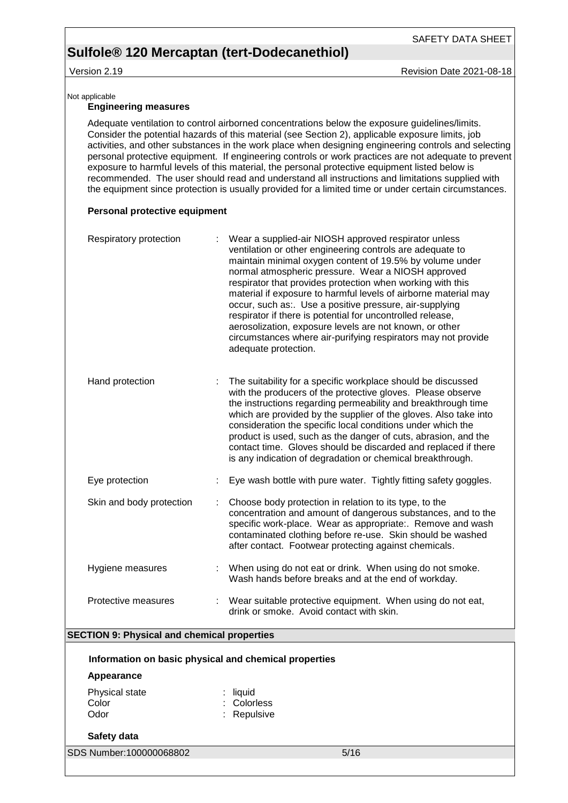### Version 2.19 **Version 2.19** Revision Date 2021-08-18

SAFETY DATA SHEET

#### Not applicable

### **Engineering measures**

Adequate ventilation to control airborned concentrations below the exposure guidelines/limits. Consider the potential hazards of this material (see Section 2), applicable exposure limits, job activities, and other substances in the work place when designing engineering controls and selecting personal protective equipment. If engineering controls or work practices are not adequate to prevent exposure to harmful levels of this material, the personal protective equipment listed below is recommended. The user should read and understand all instructions and limitations supplied with the equipment since protection is usually provided for a limited time or under certain circumstances.

### **Personal protective equipment**

| Respiratory protection                             | Wear a supplied-air NIOSH approved respirator unless<br>ventilation or other engineering controls are adequate to<br>maintain minimal oxygen content of 19.5% by volume under<br>normal atmospheric pressure. Wear a NIOSH approved<br>respirator that provides protection when working with this<br>material if exposure to harmful levels of airborne material may<br>occur, such as:. Use a positive pressure, air-supplying<br>respirator if there is potential for uncontrolled release,<br>aerosolization, exposure levels are not known, or other<br>circumstances where air-purifying respirators may not provide<br>adequate protection. |
|----------------------------------------------------|---------------------------------------------------------------------------------------------------------------------------------------------------------------------------------------------------------------------------------------------------------------------------------------------------------------------------------------------------------------------------------------------------------------------------------------------------------------------------------------------------------------------------------------------------------------------------------------------------------------------------------------------------|
| Hand protection                                    | The suitability for a specific workplace should be discussed<br>with the producers of the protective gloves. Please observe<br>the instructions regarding permeability and breakthrough time<br>which are provided by the supplier of the gloves. Also take into<br>consideration the specific local conditions under which the<br>product is used, such as the danger of cuts, abrasion, and the<br>contact time. Gloves should be discarded and replaced if there<br>is any indication of degradation or chemical breakthrough.                                                                                                                 |
| Eye protection                                     | Eye wash bottle with pure water. Tightly fitting safety goggles.                                                                                                                                                                                                                                                                                                                                                                                                                                                                                                                                                                                  |
| Skin and body protection                           | Choose body protection in relation to its type, to the<br>concentration and amount of dangerous substances, and to the<br>specific work-place. Wear as appropriate:. Remove and wash<br>contaminated clothing before re-use. Skin should be washed<br>after contact. Footwear protecting against chemicals.                                                                                                                                                                                                                                                                                                                                       |
| Hygiene measures                                   | When using do not eat or drink. When using do not smoke.<br>Wash hands before breaks and at the end of workday.                                                                                                                                                                                                                                                                                                                                                                                                                                                                                                                                   |
| Protective measures                                | : Wear suitable protective equipment. When using do not eat,<br>drink or smoke. Avoid contact with skin.                                                                                                                                                                                                                                                                                                                                                                                                                                                                                                                                          |
| <b>SECTION 9: Physical and chemical properties</b> |                                                                                                                                                                                                                                                                                                                                                                                                                                                                                                                                                                                                                                                   |
|                                                    |                                                                                                                                                                                                                                                                                                                                                                                                                                                                                                                                                                                                                                                   |

**Information on basic physical and chemical properties Appearance** Physical state : liquid Color : Colorless Odor : Repulsive

### **Safety data**

SDS Number:100000068802 5/16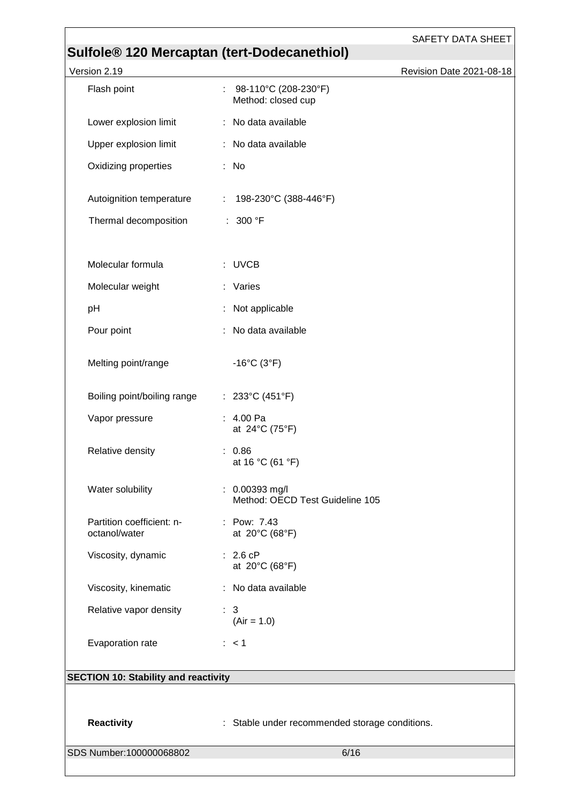| <b>SAFETY DATA SHEET</b>                                                |
|-------------------------------------------------------------------------|
| Sulfole® 120 Mercaptan (tert-Dodecanethiol)<br>Revision Date 2021-08-18 |
| : $98-110^{\circ}$ C (208-230°F)<br>Method: closed cup                  |
| : No data available                                                     |
| : No data available                                                     |
| : No                                                                    |
| Autoignition temperature<br>: $198-230^{\circ}$ C (388-446°F)           |
| : 300 °F                                                                |
| : UVCB                                                                  |
| : Varies                                                                |
| Not applicable                                                          |
| No data available                                                       |
| $-16^{\circ}$ C (3 $^{\circ}$ F)                                        |
| : $233^{\circ}C(451^{\circ}F)$                                          |
| : 4.00 Pa<br>at 24°C (75°F)                                             |
| : 0.86<br>at 16 °C (61 °F)                                              |
| $: 0.00393$ mg/l<br>Method: OECD Test Guideline 105                     |
| : Pow: 7.43<br>at 20°C (68°F)                                           |
| : 2.6 cP<br>at 20°C (68°F)                                              |
| : No data available                                                     |
| $\therefore$ 3<br>$(Air = 1.0)$                                         |
| $\therefore$ < 1                                                        |
| <b>SECTION 10: Stability and reactivity</b>                             |
|                                                                         |
| : Stable under recommended storage conditions.                          |
| 6/16                                                                    |
|                                                                         |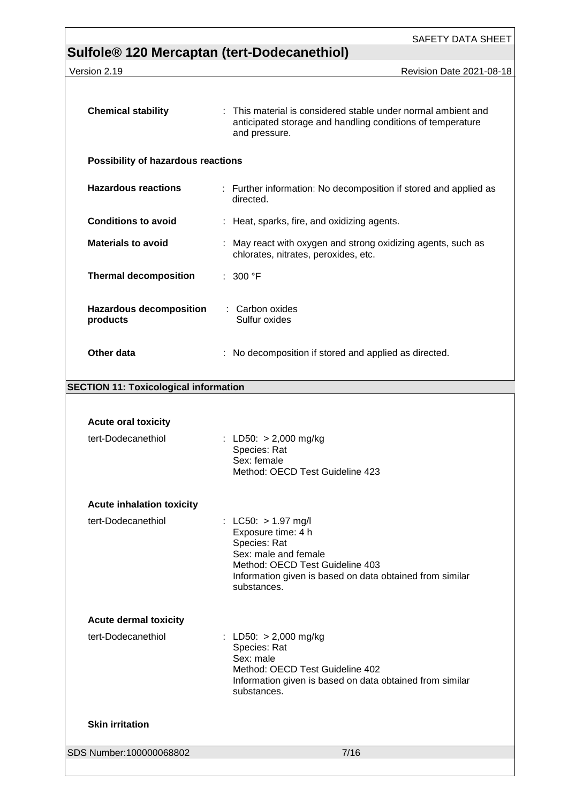|                                                         | SAFETY DATA SHEET                                                                                                                                                                                 |
|---------------------------------------------------------|---------------------------------------------------------------------------------------------------------------------------------------------------------------------------------------------------|
| Sulfole <sup>®</sup> 120 Mercaptan (tert-Dodecanethiol) |                                                                                                                                                                                                   |
| Version 2.19                                            | Revision Date 2021-08-18                                                                                                                                                                          |
| <b>Chemical stability</b>                               | : This material is considered stable under normal ambient and<br>anticipated storage and handling conditions of temperature<br>and pressure.                                                      |
| <b>Possibility of hazardous reactions</b>               |                                                                                                                                                                                                   |
| <b>Hazardous reactions</b>                              | : Further information: No decomposition if stored and applied as<br>directed.                                                                                                                     |
| <b>Conditions to avoid</b>                              | : Heat, sparks, fire, and oxidizing agents.                                                                                                                                                       |
| <b>Materials to avoid</b>                               | : May react with oxygen and strong oxidizing agents, such as<br>chlorates, nitrates, peroxides, etc.                                                                                              |
| <b>Thermal decomposition</b>                            | : 300 °F                                                                                                                                                                                          |
| <b>Hazardous decomposition</b><br>products              | : Carbon oxides<br>Sulfur oxides                                                                                                                                                                  |
| Other data                                              | : No decomposition if stored and applied as directed.                                                                                                                                             |
| <b>SECTION 11: Toxicological information</b>            |                                                                                                                                                                                                   |
|                                                         |                                                                                                                                                                                                   |
| <b>Acute oral toxicity</b>                              |                                                                                                                                                                                                   |
| tert-Dodecanethiol                                      | : LD50: $> 2,000$ mg/kg<br>Species: Rat<br>Sex: female<br>Method: OECD Test Guideline 423                                                                                                         |
| <b>Acute inhalation toxicity</b>                        |                                                                                                                                                                                                   |
| tert-Dodecanethiol                                      | : LC50: $> 1.97$ mg/l<br>Exposure time: 4 h<br>Species: Rat<br>Sex: male and female<br>Method: OECD Test Guideline 403<br>Information given is based on data obtained from similar<br>substances. |
| <b>Acute dermal toxicity</b>                            |                                                                                                                                                                                                   |
| tert-Dodecanethiol                                      | : LD50: > 2,000 mg/kg<br>Species: Rat<br>Sex: male<br>Method: OECD Test Guideline 402<br>Information given is based on data obtained from similar<br>substances.                                  |
| <b>Skin irritation</b>                                  |                                                                                                                                                                                                   |
| SDS Number:100000068802                                 | 7/16                                                                                                                                                                                              |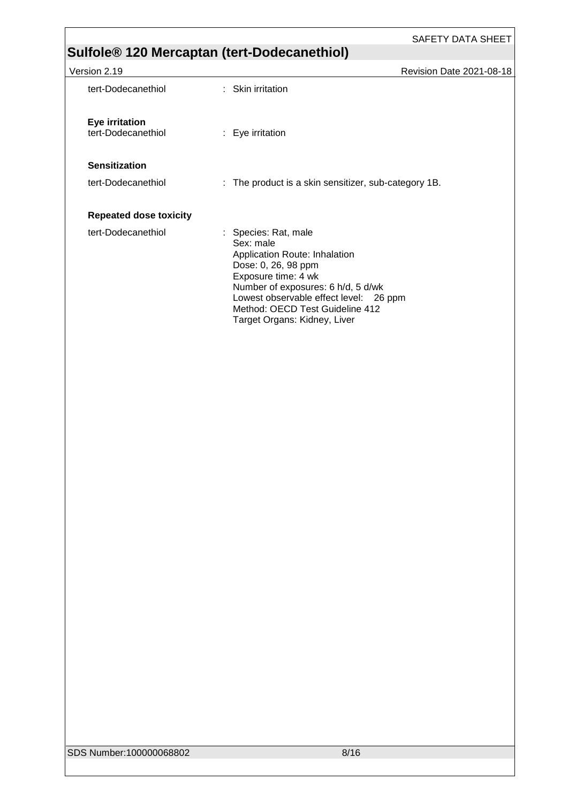SAFETY DATA SHEET

## **Sulfole® 120 Mercaptan (tert-Dodecanethiol)**

| Version 2.19                                | <b>Revision Date 2021-08-18</b>                                                                                                                                                                                                                                     |
|---------------------------------------------|---------------------------------------------------------------------------------------------------------------------------------------------------------------------------------------------------------------------------------------------------------------------|
| tert-Dodecanethiol                          | $:$ Skin irritation                                                                                                                                                                                                                                                 |
| <b>Eye irritation</b><br>tert-Dodecanethiol | : Eye irritation                                                                                                                                                                                                                                                    |
| <b>Sensitization</b>                        |                                                                                                                                                                                                                                                                     |
| tert-Dodecanethiol                          | : The product is a skin sensitizer, sub-category 1B.                                                                                                                                                                                                                |
| <b>Repeated dose toxicity</b>               |                                                                                                                                                                                                                                                                     |
| tert-Dodecanethiol                          | : Species: Rat, male<br>Sex: male<br>Application Route: Inhalation<br>Dose: 0, 26, 98 ppm<br>Exposure time: 4 wk<br>Number of exposures: 6 h/d, 5 d/wk<br>Lowest observable effect level: 26 ppm<br>Method: OECD Test Guideline 412<br>Target Organs: Kidney, Liver |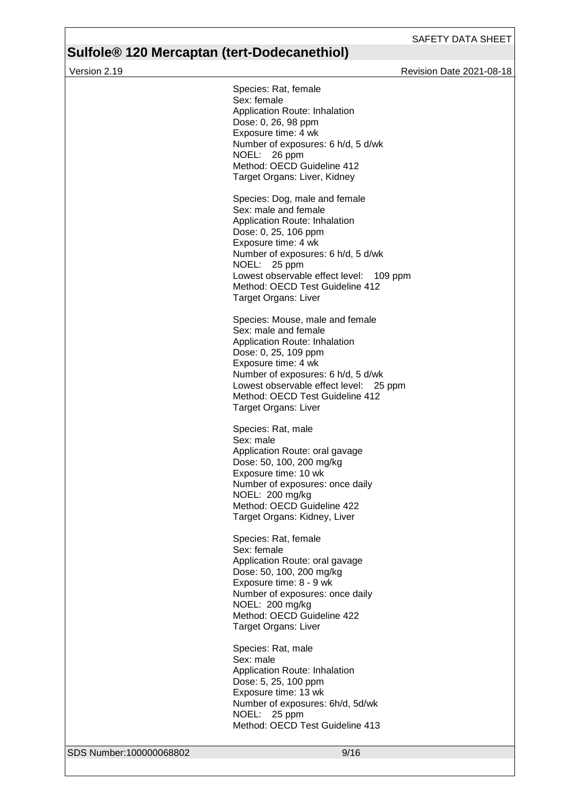Version 2.19 **Version 2.19** Revision Date 2021-08-18

| SDS Number:100000068802 | 9/16                                                                                                                                                                                                                                                                                              |
|-------------------------|---------------------------------------------------------------------------------------------------------------------------------------------------------------------------------------------------------------------------------------------------------------------------------------------------|
|                         | Species: Rat, male<br>Sex: male<br>Application Route: Inhalation<br>Dose: 5, 25, 100 ppm<br>Exposure time: 13 wk<br>Number of exposures: 6h/d, 5d/wk<br>NOEL: 25 ppm<br>Method: OECD Test Guideline 413                                                                                           |
|                         | Species: Rat, female<br>Sex: female<br>Application Route: oral gavage<br>Dose: 50, 100, 200 mg/kg<br>Exposure time: 8 - 9 wk<br>Number of exposures: once daily<br>NOEL: 200 mg/kg<br>Method: OECD Guideline 422<br>Target Organs: Liver                                                          |
|                         | Species: Rat, male<br>Sex: male<br>Application Route: oral gavage<br>Dose: 50, 100, 200 mg/kg<br>Exposure time: 10 wk<br>Number of exposures: once daily<br>NOEL: 200 mg/kg<br>Method: OECD Guideline 422<br>Target Organs: Kidney, Liver                                                         |
|                         | Species: Mouse, male and female<br>Sex: male and female<br>Application Route: Inhalation<br>Dose: 0, 25, 109 ppm<br>Exposure time: 4 wk<br>Number of exposures: 6 h/d, 5 d/wk<br>Lowest observable effect level: 25 ppm<br>Method: OECD Test Guideline 412<br>Target Organs: Liver                |
|                         | Species: Dog, male and female<br>Sex: male and female<br>Application Route: Inhalation<br>Dose: 0, 25, 106 ppm<br>Exposure time: 4 wk<br>Number of exposures: 6 h/d, 5 d/wk<br>NOEL: 25 ppm<br>Lowest observable effect level: 109 ppm<br>Method: OECD Test Guideline 412<br>Target Organs: Liver |
|                         | Species: Rat, female<br>Sex: female<br>Application Route: Inhalation<br>Dose: 0, 26, 98 ppm<br>Exposure time: 4 wk<br>Number of exposures: 6 h/d, 5 d/wk<br>NOEL: 26 ppm<br>Method: OECD Guideline 412<br>Target Organs: Liver, Kidney                                                            |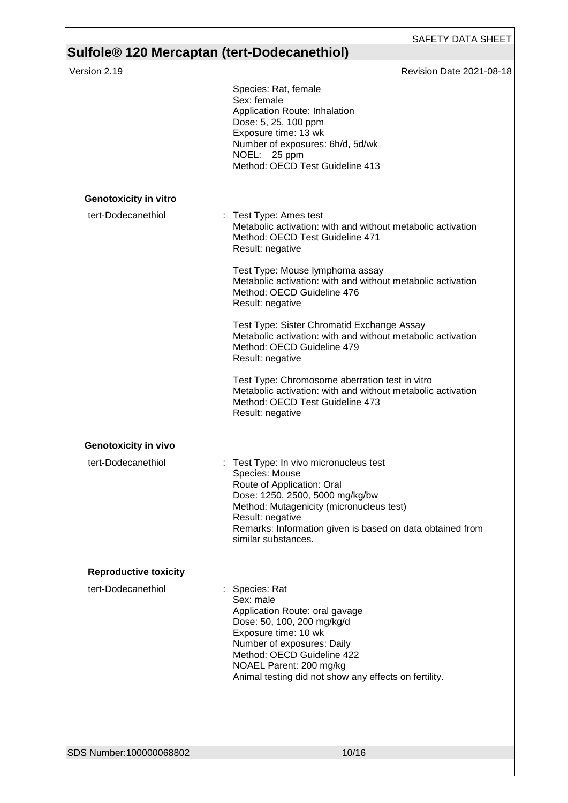| Version 2.19                 | Revision Date 2021-08-18                                                                                                                                                                                                                                                         |
|------------------------------|----------------------------------------------------------------------------------------------------------------------------------------------------------------------------------------------------------------------------------------------------------------------------------|
|                              | Species: Rat, female<br>Sex: female<br>Application Route: Inhalation<br>Dose: 5, 25, 100 ppm<br>Exposure time: 13 wk<br>Number of exposures: 6h/d, 5d/wk<br>NOEL: 25 ppm<br>Method: OECD Test Guideline 413                                                                      |
| <b>Genotoxicity in vitro</b> |                                                                                                                                                                                                                                                                                  |
| tert-Dodecanethiol           | : Test Type: Ames test<br>Metabolic activation: with and without metabolic activation<br>Method: OECD Test Guideline 471<br>Result: negative                                                                                                                                     |
|                              | Test Type: Mouse lymphoma assay<br>Metabolic activation: with and without metabolic activation<br>Method: OECD Guideline 476<br>Result: negative                                                                                                                                 |
|                              | Test Type: Sister Chromatid Exchange Assay<br>Metabolic activation: with and without metabolic activation<br>Method: OECD Guideline 479<br>Result: negative                                                                                                                      |
|                              | Test Type: Chromosome aberration test in vitro<br>Metabolic activation: with and without metabolic activation<br>Method: OECD Test Guideline 473<br>Result: negative                                                                                                             |
| <b>Genotoxicity in vivo</b>  |                                                                                                                                                                                                                                                                                  |
| tert-Dodecanethiol           | Test Type: In vivo micronucleus test<br>÷<br>Species: Mouse<br>Route of Application: Oral<br>Dose: 1250, 2500, 5000 mg/kg/bw<br>Method: Mutagenicity (micronucleus test)<br>Result: negative<br>Remarks: Information given is based on data obtained from<br>similar substances. |
| <b>Reproductive toxicity</b> |                                                                                                                                                                                                                                                                                  |
| tert-Dodecanethiol           | Species: Rat<br>Sex: male<br>Application Route: oral gavage<br>Dose: 50, 100, 200 mg/kg/d<br>Exposure time: 10 wk<br>Number of exposures: Daily<br>Method: OECD Guideline 422<br>NOAEL Parent: 200 mg/kg<br>Animal testing did not show any effects on fertility.                |
|                              |                                                                                                                                                                                                                                                                                  |
| SDS Number:100000068802      | 10/16                                                                                                                                                                                                                                                                            |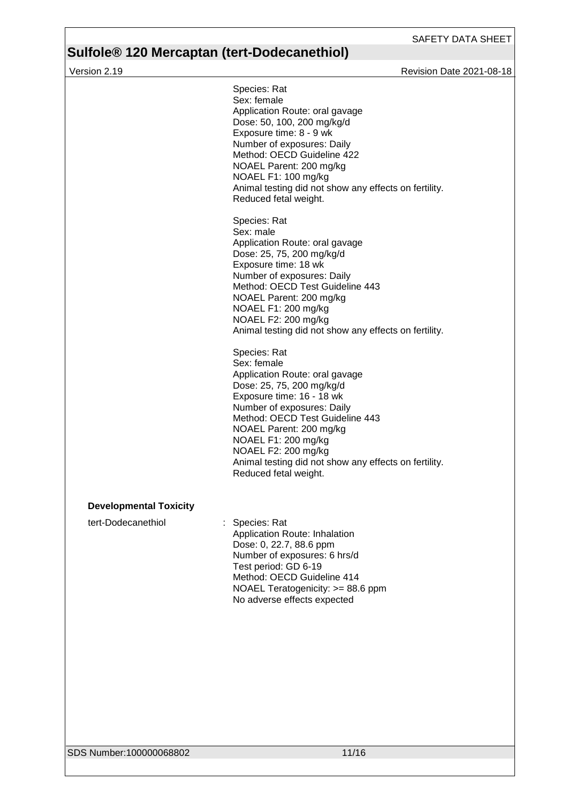Version 2.19 **Version 2.19** Revision Date 2021-08-18

|                               | Species: Rat<br>Sex: female<br>Application Route: oral gavage<br>Dose: 50, 100, 200 mg/kg/d<br>Exposure time: 8 - 9 wk<br>Number of exposures: Daily<br>Method: OECD Guideline 422<br>NOAEL Parent: 200 mg/kg<br>NOAEL F1: 100 mg/kg<br>Animal testing did not show any effects on fertility.<br>Reduced fetal weight.                              |
|-------------------------------|-----------------------------------------------------------------------------------------------------------------------------------------------------------------------------------------------------------------------------------------------------------------------------------------------------------------------------------------------------|
|                               | Species: Rat<br>Sex: male<br>Application Route: oral gavage<br>Dose: 25, 75, 200 mg/kg/d<br>Exposure time: 18 wk<br>Number of exposures: Daily<br>Method: OECD Test Guideline 443<br>NOAEL Parent: 200 mg/kg<br>NOAEL F1: 200 mg/kg<br>NOAEL F2: 200 mg/kg<br>Animal testing did not show any effects on fertility.                                 |
|                               | Species: Rat<br>Sex: female<br>Application Route: oral gavage<br>Dose: 25, 75, 200 mg/kg/d<br>Exposure time: 16 - 18 wk<br>Number of exposures: Daily<br>Method: OECD Test Guideline 443<br>NOAEL Parent: 200 mg/kg<br>NOAEL F1: 200 mg/kg<br>NOAEL F2: 200 mg/kg<br>Animal testing did not show any effects on fertility.<br>Reduced fetal weight. |
| <b>Developmental Toxicity</b> |                                                                                                                                                                                                                                                                                                                                                     |
| tert-Dodecanethiol            | Species: Rat<br>Application Route: Inhalation<br>Dose: 0, 22.7, 88.6 ppm<br>Number of exposures: 6 hrs/d<br>Test period: GD 6-19<br>Method: OECD Guideline 414<br>NOAEL Teratogenicity: >= 88.6 ppm<br>No adverse effects expected                                                                                                                  |
|                               |                                                                                                                                                                                                                                                                                                                                                     |
| SDS Number:100000068802       | 11/16                                                                                                                                                                                                                                                                                                                                               |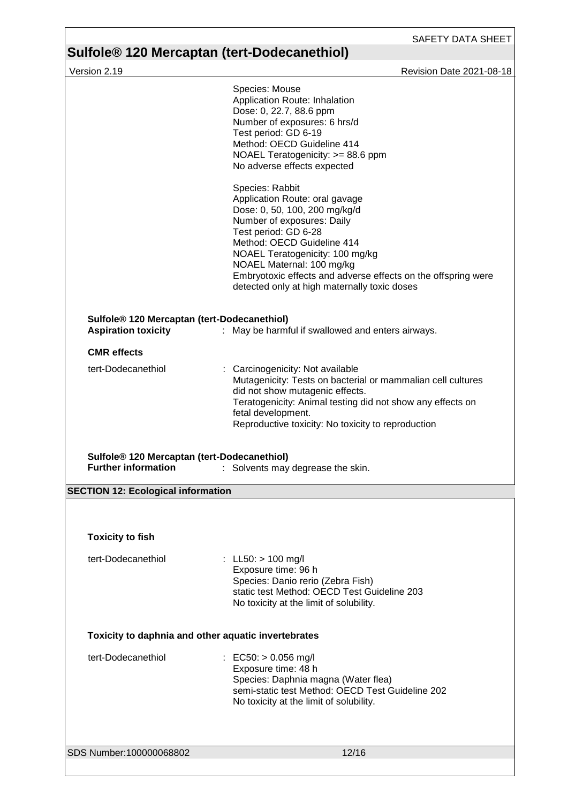a l

## **Sulfole® 120 Mercaptan (tert-Dodecanethiol)**

l

| Version 2.19                                                                          | Revision Date 2021-08-18                                                                                                                                                                                                                                                                                                                                 |
|---------------------------------------------------------------------------------------|----------------------------------------------------------------------------------------------------------------------------------------------------------------------------------------------------------------------------------------------------------------------------------------------------------------------------------------------------------|
|                                                                                       | Species: Mouse<br>Application Route: Inhalation<br>Dose: 0, 22.7, 88.6 ppm<br>Number of exposures: 6 hrs/d<br>Test period: GD 6-19<br>Method: OECD Guideline 414<br>NOAEL Teratogenicity: >= 88.6 ppm<br>No adverse effects expected<br>Species: Rabbit<br>Application Route: oral gavage<br>Dose: 0, 50, 100, 200 mg/kg/d<br>Number of exposures: Daily |
|                                                                                       | Test period: GD 6-28<br>Method: OECD Guideline 414<br>NOAEL Teratogenicity: 100 mg/kg<br>NOAEL Maternal: 100 mg/kg<br>Embryotoxic effects and adverse effects on the offspring were<br>detected only at high maternally toxic doses                                                                                                                      |
| Sulfole <sup>®</sup> 120 Mercaptan (tert-Dodecanethiol)<br><b>Aspiration toxicity</b> | : May be harmful if swallowed and enters airways.                                                                                                                                                                                                                                                                                                        |
| <b>CMR</b> effects                                                                    |                                                                                                                                                                                                                                                                                                                                                          |
| tert-Dodecanethiol                                                                    | : Carcinogenicity: Not available<br>Mutagenicity: Tests on bacterial or mammalian cell cultures<br>did not show mutagenic effects.<br>Teratogenicity: Animal testing did not show any effects on<br>fetal development.<br>Reproductive toxicity: No toxicity to reproduction                                                                             |
| Sulfole® 120 Mercaptan (tert-Dodecanethiol)<br><b>Further information</b>             | : Solvents may degrease the skin.                                                                                                                                                                                                                                                                                                                        |
| <b>SECTION 12: Ecological information</b>                                             |                                                                                                                                                                                                                                                                                                                                                          |
| <b>Toxicity to fish</b>                                                               |                                                                                                                                                                                                                                                                                                                                                          |
| tert-Dodecanethiol                                                                    | : LL50: $> 100$ mg/l<br>Exposure time: 96 h<br>Species: Danio rerio (Zebra Fish)<br>static test Method: OECD Test Guideline 203<br>No toxicity at the limit of solubility.                                                                                                                                                                               |
|                                                                                       | Toxicity to daphnia and other aquatic invertebrates                                                                                                                                                                                                                                                                                                      |
| tert-Dodecanethiol                                                                    | : EC50: $> 0.056$ mg/l<br>Exposure time: 48 h<br>Species: Daphnia magna (Water flea)<br>semi-static test Method: OECD Test Guideline 202<br>No toxicity at the limit of solubility.                                                                                                                                                                      |
| SDS Number:100000068802                                                               | 12/16                                                                                                                                                                                                                                                                                                                                                    |
|                                                                                       |                                                                                                                                                                                                                                                                                                                                                          |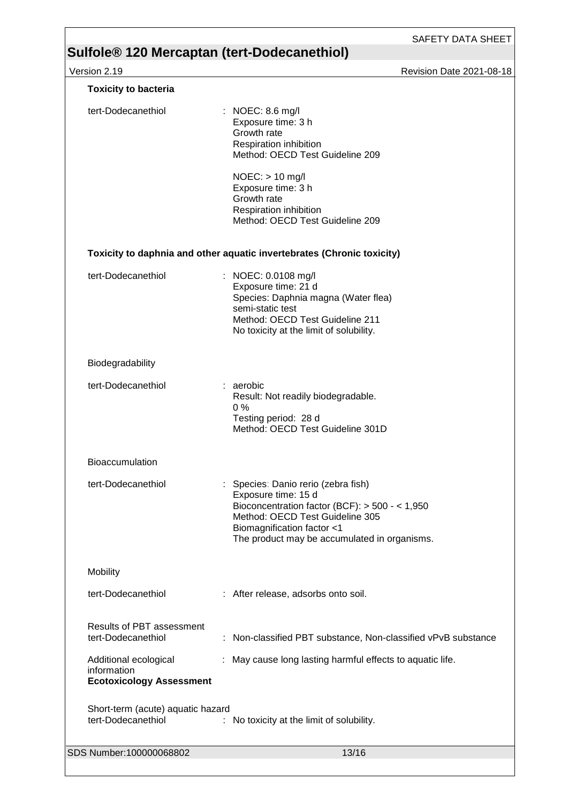Version 2.19 Revision Date 2021-08-18

| <b>Toxicity to bacteria</b>                                             |                                                                                                                                                                                                                                 |
|-------------------------------------------------------------------------|---------------------------------------------------------------------------------------------------------------------------------------------------------------------------------------------------------------------------------|
| tert-Dodecanethiol                                                      | : NOEC: 8.6 mg/l<br>Exposure time: 3 h<br>Growth rate<br>Respiration inhibition<br>Method: OECD Test Guideline 209                                                                                                              |
|                                                                         | $NOEC:$ > 10 mg/l<br>Exposure time: 3 h<br>Growth rate<br>Respiration inhibition<br>Method: OECD Test Guideline 209                                                                                                             |
|                                                                         | Toxicity to daphnia and other aquatic invertebrates (Chronic toxicity)                                                                                                                                                          |
| tert-Dodecanethiol                                                      | : NOEC: 0.0108 mg/l<br>Exposure time: 21 d<br>Species: Daphnia magna (Water flea)<br>semi-static test<br>Method: OECD Test Guideline 211<br>No toxicity at the limit of solubility.                                             |
| Biodegradability                                                        |                                                                                                                                                                                                                                 |
| tert-Dodecanethiol                                                      | : aerobic<br>Result: Not readily biodegradable.<br>0%<br>Testing period: 28 d<br>Method: OECD Test Guideline 301D                                                                                                               |
| Bioaccumulation                                                         |                                                                                                                                                                                                                                 |
| tert-Dodecanethiol                                                      | : Species: Danio rerio (zebra fish)<br>Exposure time: 15 d<br>Bioconcentration factor (BCF): $>$ 500 - < 1,950<br>Method: OECD Test Guideline 305<br>Biomagnification factor <1<br>The product may be accumulated in organisms. |
| Mobility                                                                |                                                                                                                                                                                                                                 |
| tert-Dodecanethiol                                                      | : After release, adsorbs onto soil.                                                                                                                                                                                             |
| <b>Results of PBT assessment</b><br>tert-Dodecanethiol                  | : Non-classified PBT substance, Non-classified vPvB substance                                                                                                                                                                   |
| Additional ecological<br>information<br><b>Ecotoxicology Assessment</b> | : May cause long lasting harmful effects to aquatic life.                                                                                                                                                                       |
| Short-term (acute) aquatic hazard<br>tert-Dodecanethiol                 | : No toxicity at the limit of solubility.                                                                                                                                                                                       |
|                                                                         |                                                                                                                                                                                                                                 |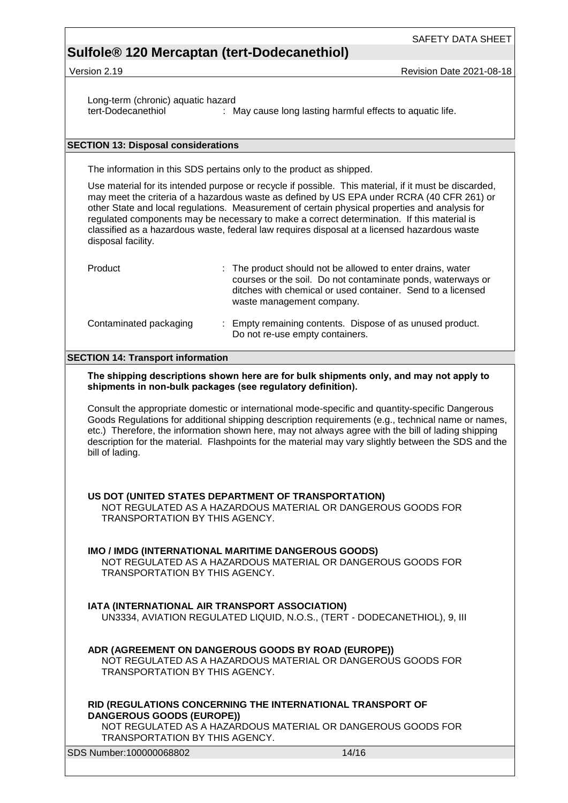Long-term (chronic) aquatic hazard<br>tert-Dodecanethiol : N : May cause long lasting harmful effects to aquatic life.

### **SECTION 13: Disposal considerations**

The information in this SDS pertains only to the product as shipped.

Use material for its intended purpose or recycle if possible. This material, if it must be discarded, may meet the criteria of a hazardous waste as defined by US EPA under RCRA (40 CFR 261) or other State and local regulations. Measurement of certain physical properties and analysis for regulated components may be necessary to make a correct determination. If this material is classified as a hazardous waste, federal law requires disposal at a licensed hazardous waste disposal facility.

| Product                | : The product should not be allowed to enter drains, water<br>courses or the soil. Do not contaminate ponds, waterways or<br>ditches with chemical or used container. Send to a licensed<br>waste management company. |
|------------------------|-----------------------------------------------------------------------------------------------------------------------------------------------------------------------------------------------------------------------|
| Contaminated packaging | : Empty remaining contents. Dispose of as unused product.<br>Do not re-use empty containers.                                                                                                                          |

### **SECTION 14: Transport information**

### **The shipping descriptions shown here are for bulk shipments only, and may not apply to shipments in non-bulk packages (see regulatory definition).**

Consult the appropriate domestic or international mode-specific and quantity-specific Dangerous Goods Regulations for additional shipping description requirements (e.g., technical name or names, etc.) Therefore, the information shown here, may not always agree with the bill of lading shipping description for the material. Flashpoints for the material may vary slightly between the SDS and the bill of lading.

#### **US DOT (UNITED STATES DEPARTMENT OF TRANSPORTATION)** NOT REGULATED AS A HAZARDOUS MATERIAL OR DANGEROUS GOODS FOR TRANSPORTATION BY THIS AGENCY.

### **IMO / IMDG (INTERNATIONAL MARITIME DANGEROUS GOODS)**

NOT REGULATED AS A HAZARDOUS MATERIAL OR DANGEROUS GOODS FOR TRANSPORTATION BY THIS AGENCY.

### **IATA (INTERNATIONAL AIR TRANSPORT ASSOCIATION)**

UN3334, AVIATION REGULATED LIQUID, N.O.S., (TERT - DODECANETHIOL), 9, III

### **ADR (AGREEMENT ON DANGEROUS GOODS BY ROAD (EUROPE))**

NOT REGULATED AS A HAZARDOUS MATERIAL OR DANGEROUS GOODS FOR TRANSPORTATION BY THIS AGENCY.

### **RID (REGULATIONS CONCERNING THE INTERNATIONAL TRANSPORT OF DANGEROUS GOODS (EUROPE))**

NOT REGULATED AS A HAZARDOUS MATERIAL OR DANGEROUS GOODS FOR TRANSPORTATION BY THIS AGENCY.

SDS Number:100000068802 14/16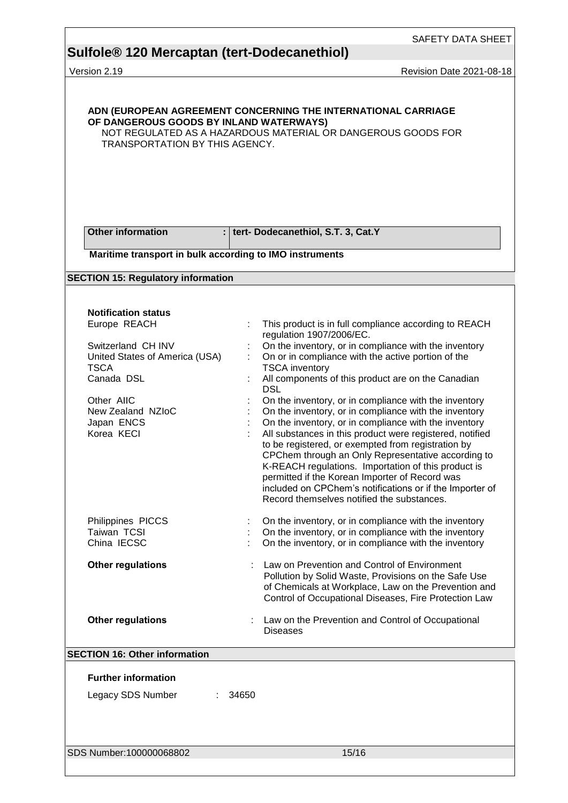Version 2.19 **Details and Contract Contract Contract Contract Contract Contract Contract Contract Contract Contract Contract Contract Contract Contract Contract Contract Contract Contract Contract Contract Contract Contrac** 

| <b>Other information</b><br>$\mathbf{H}$<br>Maritime transport in bulk according to IMO instruments<br><b>SECTION 15: Regulatory information</b><br><b>Notification status</b><br>Europe REACH<br>Switzerland CH INV<br>United States of America (USA)<br><b>TSCA</b><br>Canada DSL<br>Other AIIC<br>New Zealand NZIoC<br>Japan ENCS<br>Korea KECI<br>Philippines PICCS<br>Taiwan TCSI<br>China IECSC<br><b>Other regulations</b> | tert- Dodecanethiol, S.T. 3, Cat.Y<br>This product is in full compliance according to REACH<br>regulation 1907/2006/EC.<br>On the inventory, or in compliance with the inventory<br>On or in compliance with the active portion of the<br><b>TSCA</b> inventory<br>All components of this product are on the Canadian<br><b>DSL</b><br>On the inventory, or in compliance with the inventory<br>On the inventory, or in compliance with the inventory<br>On the inventory, or in compliance with the inventory<br>All substances in this product were registered, notified<br>to be registered, or exempted from registration by<br>CPChem through an Only Representative according to<br>K-REACH regulations. Importation of this product is<br>permitted if the Korean Importer of Record was<br>included on CPChem's notifications or if the Importer of |
|-----------------------------------------------------------------------------------------------------------------------------------------------------------------------------------------------------------------------------------------------------------------------------------------------------------------------------------------------------------------------------------------------------------------------------------|-------------------------------------------------------------------------------------------------------------------------------------------------------------------------------------------------------------------------------------------------------------------------------------------------------------------------------------------------------------------------------------------------------------------------------------------------------------------------------------------------------------------------------------------------------------------------------------------------------------------------------------------------------------------------------------------------------------------------------------------------------------------------------------------------------------------------------------------------------------|
|                                                                                                                                                                                                                                                                                                                                                                                                                                   |                                                                                                                                                                                                                                                                                                                                                                                                                                                                                                                                                                                                                                                                                                                                                                                                                                                             |
|                                                                                                                                                                                                                                                                                                                                                                                                                                   |                                                                                                                                                                                                                                                                                                                                                                                                                                                                                                                                                                                                                                                                                                                                                                                                                                                             |
|                                                                                                                                                                                                                                                                                                                                                                                                                                   |                                                                                                                                                                                                                                                                                                                                                                                                                                                                                                                                                                                                                                                                                                                                                                                                                                                             |
|                                                                                                                                                                                                                                                                                                                                                                                                                                   | Record themselves notified the substances.                                                                                                                                                                                                                                                                                                                                                                                                                                                                                                                                                                                                                                                                                                                                                                                                                  |
|                                                                                                                                                                                                                                                                                                                                                                                                                                   | On the inventory, or in compliance with the inventory<br>On the inventory, or in compliance with the inventory<br>On the inventory, or in compliance with the inventory                                                                                                                                                                                                                                                                                                                                                                                                                                                                                                                                                                                                                                                                                     |
|                                                                                                                                                                                                                                                                                                                                                                                                                                   | Law on Prevention and Control of Environment<br>Pollution by Solid Waste, Provisions on the Safe Use<br>of Chemicals at Workplace, Law on the Prevention and<br>Control of Occupational Diseases, Fire Protection Law                                                                                                                                                                                                                                                                                                                                                                                                                                                                                                                                                                                                                                       |
| <b>Other regulations</b>                                                                                                                                                                                                                                                                                                                                                                                                          | Law on the Prevention and Control of Occupational<br><b>Diseases</b>                                                                                                                                                                                                                                                                                                                                                                                                                                                                                                                                                                                                                                                                                                                                                                                        |
| <b>SECTION 16: Other information</b>                                                                                                                                                                                                                                                                                                                                                                                              |                                                                                                                                                                                                                                                                                                                                                                                                                                                                                                                                                                                                                                                                                                                                                                                                                                                             |
| <b>Further information</b><br>Legacy SDS Number<br>34650<br>÷.                                                                                                                                                                                                                                                                                                                                                                    |                                                                                                                                                                                                                                                                                                                                                                                                                                                                                                                                                                                                                                                                                                                                                                                                                                                             |
| SDS Number:100000068802                                                                                                                                                                                                                                                                                                                                                                                                           | 15/16                                                                                                                                                                                                                                                                                                                                                                                                                                                                                                                                                                                                                                                                                                                                                                                                                                                       |